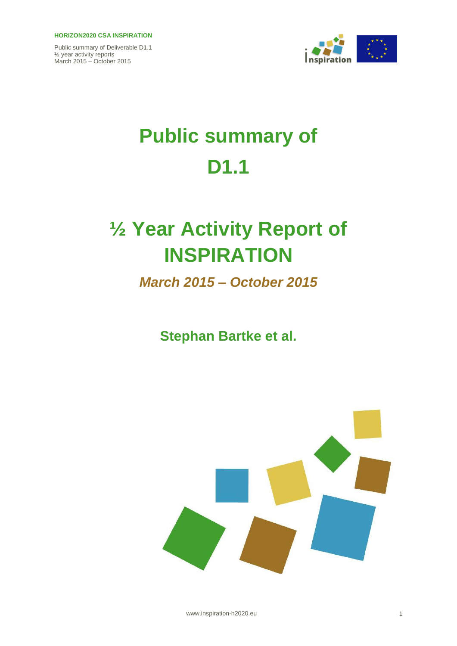#### **HORIZON2020 CSA INSPIRATION**

Public summary of Deliverable D1.1 ½ year activity reports March 2015 – October 2015



# **Public summary of D1.1**

## **½ Year Activity Report of INSPIRATION**

*March 2015 – October 2015*

**Stephan Bartke et al.**



www.inspiration-h2020.eu 1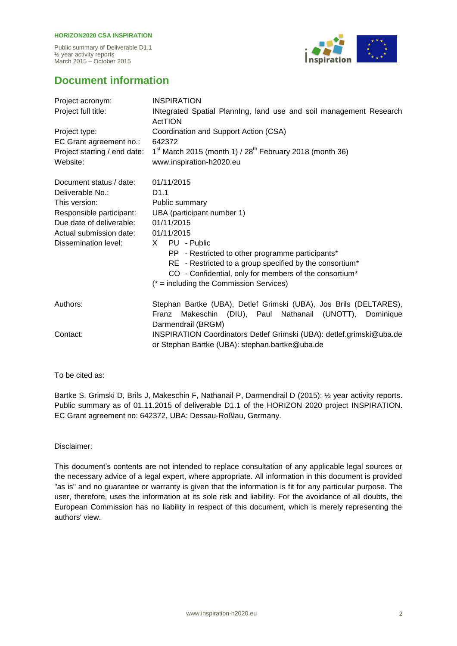#### **HORIZON2020 CSA INSPIRATION**

Public summary of Deliverable D1.1 ½ year activity reports March 2015 – October 2015



### **Document information**

| Project acronym:             | <b>INSPIRATION</b>                                                                                                                  |
|------------------------------|-------------------------------------------------------------------------------------------------------------------------------------|
| Project full title:          | INtegrated Spatial Planning, land use and soil management Research<br>ActTION                                                       |
| Project type:                | Coordination and Support Action (CSA)                                                                                               |
| EC Grant agreement no.:      | 642372                                                                                                                              |
| Project starting / end date: | $1st$ March 2015 (month 1) / 28 <sup>th</sup> February 2018 (month 36)                                                              |
| Website:                     | www.inspiration-h2020.eu                                                                                                            |
| Document status / date:      | 01/11/2015                                                                                                                          |
| Deliverable No.:             | D <sub>1.1</sub>                                                                                                                    |
| This version:                | Public summary                                                                                                                      |
| Responsible participant:     | UBA (participant number 1)                                                                                                          |
| Due date of deliverable:     | 01/11/2015                                                                                                                          |
| Actual submission date:      | 01/11/2015                                                                                                                          |
| Dissemination level:         | PU - Public<br>X.                                                                                                                   |
|                              | PP - Restricted to other programme participants*                                                                                    |
|                              | RE - Restricted to a group specified by the consortium*                                                                             |
|                              | CO - Confidential, only for members of the consortium*                                                                              |
|                              | $(* = including the Commission Services)$                                                                                           |
| Authors:                     | Stephan Bartke (UBA), Detlef Grimski (UBA), Jos Brils (DELTARES),<br>Makeschin (DIU), Paul Nathanail (UNOTT),<br>Dominique<br>Franz |
|                              | Darmendrail (BRGM)                                                                                                                  |
| Contact:                     | INSPIRATION Coordinators Detlef Grimski (UBA): detlef.grimski@uba.de<br>or Stephan Bartke (UBA): stephan.bartke@uba.de              |

To be cited as:

Bartke S, Grimski D, Brils J, Makeschin F, Nathanail P, Darmendrail D (2015): ½ year activity reports. Public summary as of 01.11.2015 of deliverable D1.1 of the HORIZON 2020 project INSPIRATION. EC Grant agreement no: 642372, UBA: Dessau-Roßlau, Germany.

Disclaimer:

This document's contents are not intended to replace consultation of any applicable legal sources or the necessary advice of a legal expert, where appropriate. All information in this document is provided "as is" and no guarantee or warranty is given that the information is fit for any particular purpose. The user, therefore, uses the information at its sole risk and liability. For the avoidance of all doubts, the European Commission has no liability in respect of this document, which is merely representing the authors' view.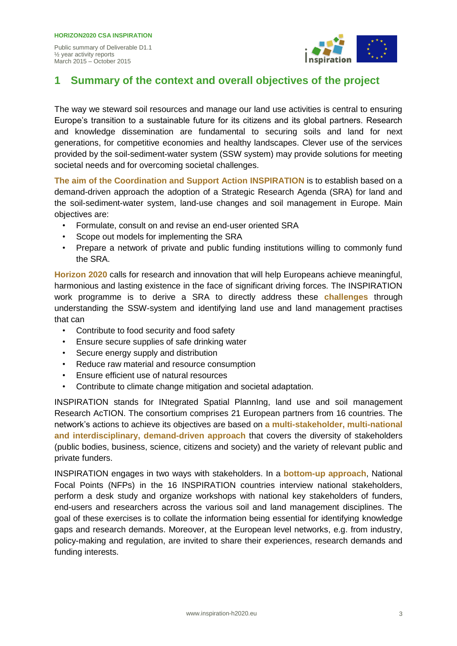

## **1 Summary of the context and overall objectives of the project**

The way we steward soil resources and manage our land use activities is central to ensuring Europe's transition to a sustainable future for its citizens and its global partners. Research and knowledge dissemination are fundamental to securing soils and land for next generations, for competitive economies and healthy landscapes. Clever use of the services provided by the soil-sediment-water system (SSW system) may provide solutions for meeting societal needs and for overcoming societal challenges.

**The aim of the Coordination and Support Action INSPIRATION** is to establish based on a demand-driven approach the adoption of a Strategic Research Agenda (SRA) for land and the soil-sediment-water system, land-use changes and soil management in Europe. Main objectives are:

- Formulate, consult on and revise an end-user oriented SRA
- Scope out models for implementing the SRA
- Prepare a network of private and public funding institutions willing to commonly fund the SRA.

**Horizon 2020** calls for research and innovation that will help Europeans achieve meaningful, harmonious and lasting existence in the face of significant driving forces. The INSPIRATION work programme is to derive a SRA to directly address these **challenges** through understanding the SSW-system and identifying land use and land management practises that can

- Contribute to food security and food safety
- Ensure secure supplies of safe drinking water
- Secure energy supply and distribution
- Reduce raw material and resource consumption
- Ensure efficient use of natural resources
- Contribute to climate change mitigation and societal adaptation.

INSPIRATION stands for INtegrated Spatial PlannIng, land use and soil management Research AcTION. The consortium comprises 21 European partners from 16 countries. The network's actions to achieve its objectives are based on **a multi-stakeholder, multi-national and interdisciplinary, demand-driven approach** that covers the diversity of stakeholders (public bodies, business, science, citizens and society) and the variety of relevant public and private funders.

INSPIRATION engages in two ways with stakeholders. In a **bottom-up approach**, National Focal Points (NFPs) in the 16 INSPIRATION countries interview national stakeholders, perform a desk study and organize workshops with national key stakeholders of funders, end-users and researchers across the various soil and land management disciplines. The goal of these exercises is to collate the information being essential for identifying knowledge gaps and research demands. Moreover, at the European level networks, e.g. from industry, policy-making and regulation, are invited to share their experiences, research demands and funding interests.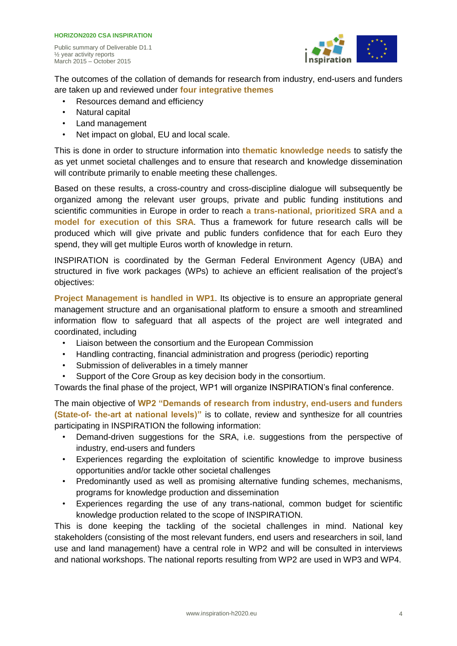

The outcomes of the collation of demands for research from industry, end-users and funders are taken up and reviewed under **four integrative themes**

- Resources demand and efficiency
- Natural capital

March 2015 – October 2015

- Land management
- Net impact on global, EU and local scale.

This is done in order to structure information into **thematic knowledge needs** to satisfy the as yet unmet societal challenges and to ensure that research and knowledge dissemination will contribute primarily to enable meeting these challenges.

Based on these results, a cross-country and cross-discipline dialogue will subsequently be organized among the relevant user groups, private and public funding institutions and scientific communities in Europe in order to reach **a trans-national, prioritized SRA and a model for execution of this SRA**. Thus a framework for future research calls will be produced which will give private and public funders confidence that for each Euro they spend, they will get multiple Euros worth of knowledge in return.

INSPIRATION is coordinated by the German Federal Environment Agency (UBA) and structured in five work packages (WPs) to achieve an efficient realisation of the project's objectives:

**Project Management is handled in WP1**. Its objective is to ensure an appropriate general management structure and an organisational platform to ensure a smooth and streamlined information flow to safeguard that all aspects of the project are well integrated and coordinated, including

- Liaison between the consortium and the European Commission
- Handling contracting, financial administration and progress (periodic) reporting
- Submission of deliverables in a timely manner
- Support of the Core Group as key decision body in the consortium.

Towards the final phase of the project, WP1 will organize INSPIRATION's final conference.

The main objective of **WP2 "Demands of research from industry, end-users and funders (State-of- the-art at national levels)"** is to collate, review and synthesize for all countries participating in INSPIRATION the following information:

- Demand-driven suggestions for the SRA, i.e. suggestions from the perspective of industry, end-users and funders
- Experiences regarding the exploitation of scientific knowledge to improve business opportunities and/or tackle other societal challenges
- Predominantly used as well as promising alternative funding schemes, mechanisms, programs for knowledge production and dissemination
- Experiences regarding the use of any trans-national, common budget for scientific knowledge production related to the scope of INSPIRATION.

This is done keeping the tackling of the societal challenges in mind. National key stakeholders (consisting of the most relevant funders, end users and researchers in soil, land use and land management) have a central role in WP2 and will be consulted in interviews and national workshops. The national reports resulting from WP2 are used in WP3 and WP4.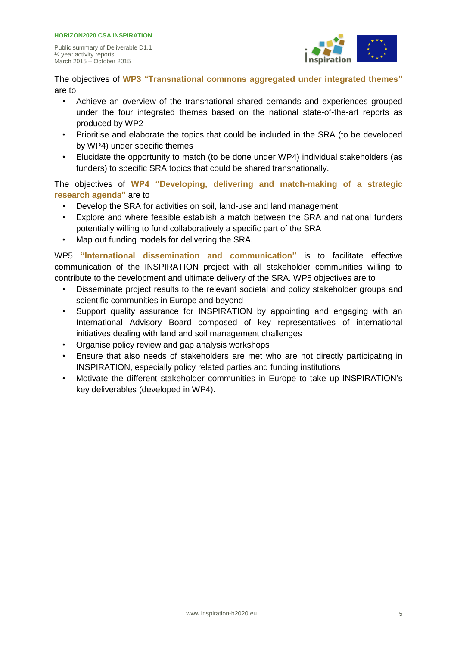

The objectives of **WP3 "Transnational commons aggregated under integrated themes"**  are to

- Achieve an overview of the transnational shared demands and experiences grouped under the four integrated themes based on the national state-of-the-art reports as produced by WP2
- Prioritise and elaborate the topics that could be included in the SRA (to be developed by WP4) under specific themes
- Elucidate the opportunity to match (to be done under WP4) individual stakeholders (as funders) to specific SRA topics that could be shared transnationally.

The objectives of **WP4 "Developing, delivering and match-making of a strategic research agenda"** are to

- Develop the SRA for activities on soil, land-use and land management
- Explore and where feasible establish a match between the SRA and national funders potentially willing to fund collaboratively a specific part of the SRA
- Map out funding models for delivering the SRA.

WP5 **"International dissemination and communication"** is to facilitate effective communication of the INSPIRATION project with all stakeholder communities willing to contribute to the development and ultimate delivery of the SRA. WP5 objectives are to

- Disseminate project results to the relevant societal and policy stakeholder groups and scientific communities in Europe and beyond
- Support quality assurance for INSPIRATION by appointing and engaging with an International Advisory Board composed of key representatives of international initiatives dealing with land and soil management challenges
- Organise policy review and gap analysis workshops
- Ensure that also needs of stakeholders are met who are not directly participating in INSPIRATION, especially policy related parties and funding institutions
- Motivate the different stakeholder communities in Europe to take up INSPIRATION's key deliverables (developed in WP4).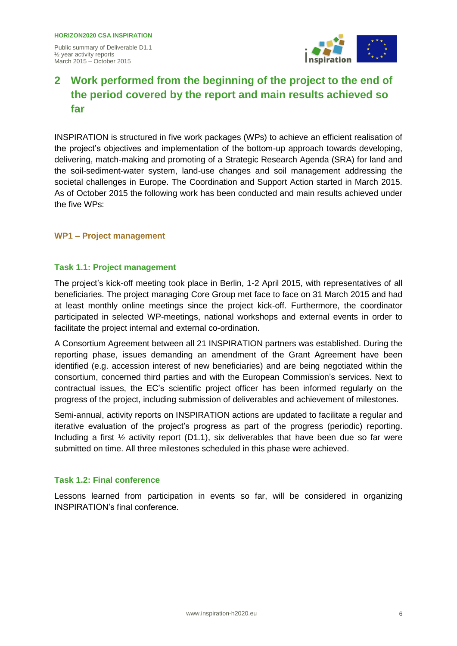

## **2 Work performed from the beginning of the project to the end of the period covered by the report and main results achieved so far**

INSPIRATION is structured in five work packages (WPs) to achieve an efficient realisation of the project's objectives and implementation of the bottom-up approach towards developing, delivering, match-making and promoting of a Strategic Research Agenda (SRA) for land and the soil-sediment-water system, land-use changes and soil management addressing the societal challenges in Europe. The Coordination and Support Action started in March 2015. As of October 2015 the following work has been conducted and main results achieved under the five WPs:

#### **WP1 – Project management**

#### **Task 1.1: Project management**

The project's kick-off meeting took place in Berlin, 1-2 April 2015, with representatives of all beneficiaries. The project managing Core Group met face to face on 31 March 2015 and had at least monthly online meetings since the project kick-off. Furthermore, the coordinator participated in selected WP-meetings, national workshops and external events in order to facilitate the project internal and external co-ordination.

A Consortium Agreement between all 21 INSPIRATION partners was established. During the reporting phase, issues demanding an amendment of the Grant Agreement have been identified (e.g. accession interest of new beneficiaries) and are being negotiated within the consortium, concerned third parties and with the European Commission's services. Next to contractual issues, the EC's scientific project officer has been informed regularly on the progress of the project, including submission of deliverables and achievement of milestones.

Semi-annual, activity reports on INSPIRATION actions are updated to facilitate a regular and iterative evaluation of the project's progress as part of the progress (periodic) reporting. Including a first ½ activity report (D1.1), six deliverables that have been due so far were submitted on time. All three milestones scheduled in this phase were achieved.

#### **Task 1.2: Final conference**

Lessons learned from participation in events so far, will be considered in organizing INSPIRATION's final conference.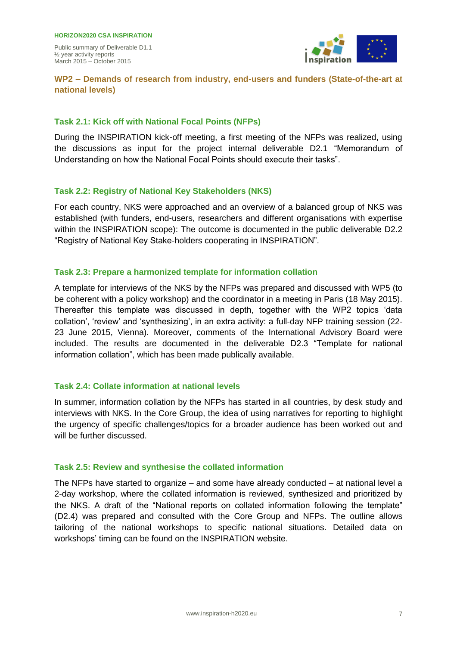

#### **WP2 – Demands of research from industry, end-users and funders (State-of-the-art at national levels)**

#### **Task 2.1: Kick off with National Focal Points (NFPs)**

During the INSPIRATION kick-off meeting, a first meeting of the NFPs was realized, using the discussions as input for the project internal deliverable D2.1 "Memorandum of Understanding on how the National Focal Points should execute their tasks".

#### **Task 2.2: Registry of National Key Stakeholders (NKS)**

For each country, NKS were approached and an overview of a balanced group of NKS was established (with funders, end-users, researchers and different organisations with expertise within the INSPIRATION scope): The outcome is documented in the public deliverable D2.2 "Registry of National Key Stake-holders cooperating in INSPIRATION".

#### **Task 2.3: Prepare a harmonized template for information collation**

A template for interviews of the NKS by the NFPs was prepared and discussed with WP5 (to be coherent with a policy workshop) and the coordinator in a meeting in Paris (18 May 2015). Thereafter this template was discussed in depth, together with the WP2 topics 'data collation', 'review' and 'synthesizing', in an extra activity: a full-day NFP training session (22- 23 June 2015, Vienna). Moreover, comments of the International Advisory Board were included. The results are documented in the deliverable D2.3 "Template for national information collation", which has been made publically available.

#### **Task 2.4: Collate information at national levels**

In summer, information collation by the NFPs has started in all countries, by desk study and interviews with NKS. In the Core Group, the idea of using narratives for reporting to highlight the urgency of specific challenges/topics for a broader audience has been worked out and will be further discussed.

#### **Task 2.5: Review and synthesise the collated information**

The NFPs have started to organize – and some have already conducted – at national level a 2-day workshop, where the collated information is reviewed, synthesized and prioritized by the NKS. A draft of the "National reports on collated information following the template" (D2.4) was prepared and consulted with the Core Group and NFPs. The outline allows tailoring of the national workshops to specific national situations. Detailed data on workshops' timing can be found on the INSPIRATION website.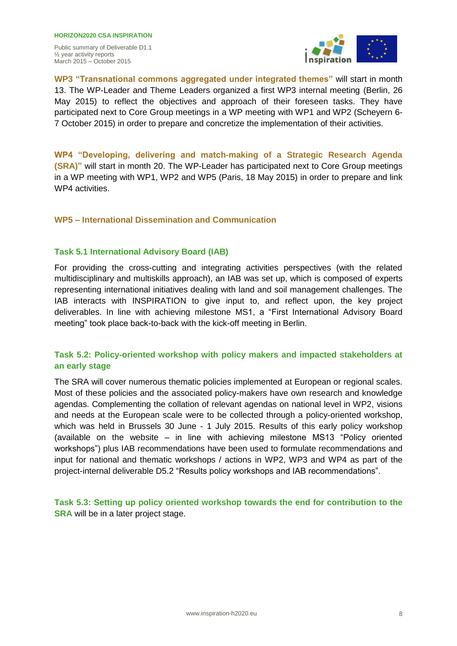**HORIZON2020 CSA INSPIRATION**  Public summary of Deliverable D1.1 ½ year activity reports March 2015 – October 2015



**WP3 "Transnational commons aggregated under integrated themes"** will start in month 13. The WP-Leader and Theme Leaders organized a first WP3 internal meeting (Berlin, 26 May 2015) to reflect the objectives and approach of their foreseen tasks. They have participated next to Core Group meetings in a WP meeting with WP1 and WP2 (Scheyern 6- 7 October 2015) in order to prepare and concretize the implementation of their activities.

**WP4 "Developing, delivering and match-making of a Strategic Research Agenda (SRA)"** will start in month 20. The WP-Leader has participated next to Core Group meetings in a WP meeting with WP1, WP2 and WP5 (Paris, 18 May 2015) in order to prepare and link WP4 activities.

#### **WP5 – International Dissemination and Communication**

#### **Task 5.1 International Advisory Board (IAB)**

For providing the cross-cutting and integrating activities perspectives (with the related multidisciplinary and multiskills approach), an IAB was set up, which is composed of experts representing international initiatives dealing with land and soil management challenges. The IAB interacts with INSPIRATION to give input to, and reflect upon, the key project deliverables. In line with achieving milestone MS1, a "First International Advisory Board meeting" took place back-to-back with the kick-off meeting in Berlin.

#### **Task 5.2: Policy-oriented workshop with policy makers and impacted stakeholders at an early stage**

The SRA will cover numerous thematic policies implemented at European or regional scales. Most of these policies and the associated policy-makers have own research and knowledge agendas. Complementing the collation of relevant agendas on national level in WP2, visions and needs at the European scale were to be collected through a policy-oriented workshop, which was held in Brussels 30 June - 1 July 2015. Results of this early policy workshop (available on the website – in line with achieving milestone MS13 "Policy oriented workshops") plus IAB recommendations have been used to formulate recommendations and input for national and thematic workshops / actions in WP2, WP3 and WP4 as part of the project-internal deliverable D5.2 "Results policy workshops and IAB recommendations".

**Task 5.3: Setting up policy oriented workshop towards the end for contribution to the SRA** will be in a later project stage.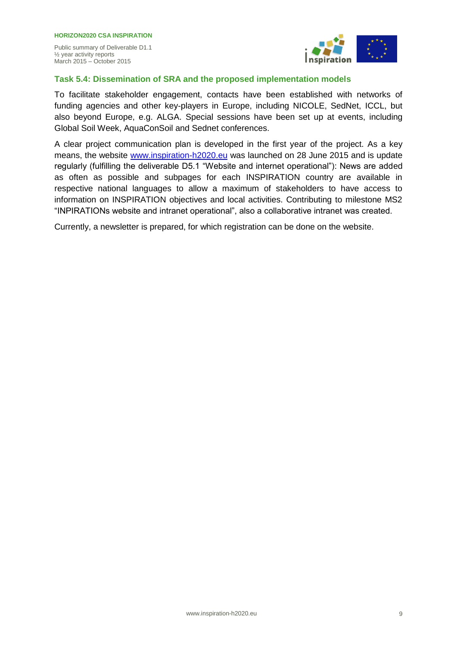

#### **Task 5.4: Dissemination of SRA and the proposed implementation models**

To facilitate stakeholder engagement, contacts have been established with networks of funding agencies and other key-players in Europe, including NICOLE, SedNet, ICCL, but also beyond Europe, e.g. ALGA. Special sessions have been set up at events, including Global Soil Week, AquaConSoil and Sednet conferences.

A clear project communication plan is developed in the first year of the project. As a key means, the website [www.inspiration-h2020.eu](http://www.inspiration-h2020.eu/) was launched on 28 June 2015 and is update regularly (fulfilling the deliverable D5.1 "Website and internet operational"): News are added as often as possible and subpages for each INSPIRATION country are available in respective national languages to allow a maximum of stakeholders to have access to information on INSPIRATION objectives and local activities. Contributing to milestone MS2 "INPIRATIONs website and intranet operational", also a collaborative intranet was created.

Currently, a newsletter is prepared, for which registration can be done on the website.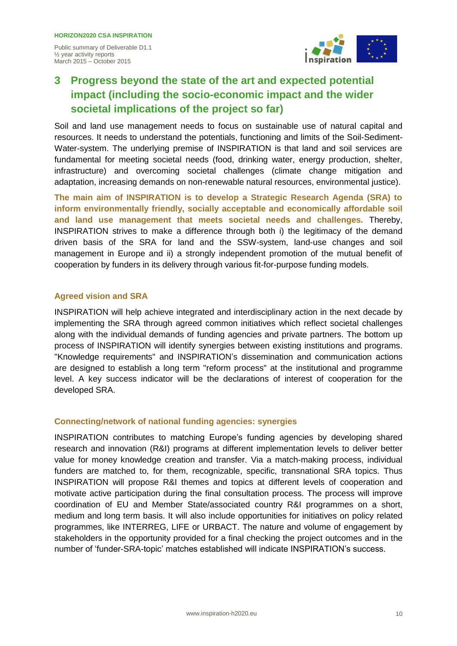½ year activity reports March 2015 – October 2015



## **3 Progress beyond the state of the art and expected potential impact (including the socio-economic impact and the wider societal implications of the project so far)**

Soil and land use management needs to focus on sustainable use of natural capital and resources. It needs to understand the potentials, functioning and limits of the Soil-Sediment-Water-system. The underlying premise of INSPIRATION is that land and soil services are fundamental for meeting societal needs (food, drinking water, energy production, shelter, infrastructure) and overcoming societal challenges (climate change mitigation and adaptation, increasing demands on non-renewable natural resources, environmental justice).

**The main aim of INSPIRATION is to develop a Strategic Research Agenda (SRA) to inform environmentally friendly, socially acceptable and economically affordable soil and land use management that meets societal needs and challenges.** Thereby, INSPIRATION strives to make a difference through both i) the legitimacy of the demand driven basis of the SRA for land and the SSW-system, land-use changes and soil management in Europe and ii) a strongly independent promotion of the mutual benefit of cooperation by funders in its delivery through various fit-for-purpose funding models.

#### **Agreed vision and SRA**

INSPIRATION will help achieve integrated and interdisciplinary action in the next decade by implementing the SRA through agreed common initiatives which reflect societal challenges along with the individual demands of funding agencies and private partners. The bottom up process of INSPIRATION will identify synergies between existing institutions and programs. "Knowledge requirements" and INSPIRATION's dissemination and communication actions are designed to establish a long term "reform process" at the institutional and programme level. A key success indicator will be the declarations of interest of cooperation for the developed SRA.

#### **Connecting/network of national funding agencies: synergies**

INSPIRATION contributes to matching Europe's funding agencies by developing shared research and innovation (R&I) programs at different implementation levels to deliver better value for money knowledge creation and transfer. Via a match-making process, individual funders are matched to, for them, recognizable, specific, transnational SRA topics. Thus INSPIRATION will propose R&I themes and topics at different levels of cooperation and motivate active participation during the final consultation process. The process will improve coordination of EU and Member State/associated country R&I programmes on a short, medium and long term basis. It will also include opportunities for initiatives on policy related programmes, like INTERREG, LIFE or URBACT. The nature and volume of engagement by stakeholders in the opportunity provided for a final checking the project outcomes and in the number of 'funder-SRA-topic' matches established will indicate INSPIRATION's success.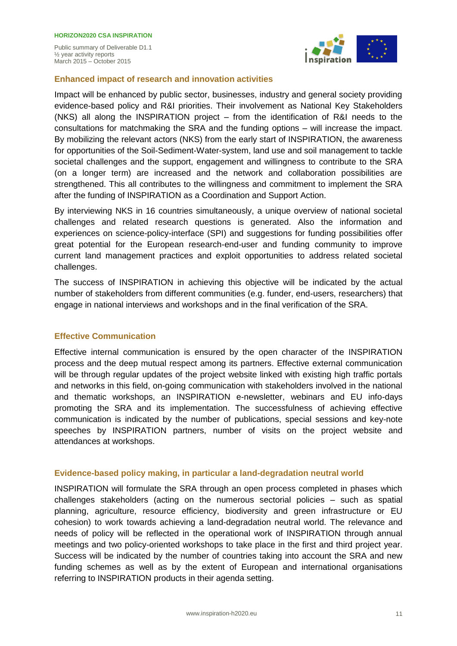

#### **Enhanced impact of research and innovation activities**

Impact will be enhanced by public sector, businesses, industry and general society providing evidence-based policy and R&I priorities. Their involvement as National Key Stakeholders (NKS) all along the INSPIRATION project – from the identification of R&I needs to the consultations for matchmaking the SRA and the funding options – will increase the impact. By mobilizing the relevant actors (NKS) from the early start of INSPIRATION, the awareness for opportunities of the Soil-Sediment-Water-system, land use and soil management to tackle societal challenges and the support, engagement and willingness to contribute to the SRA (on a longer term) are increased and the network and collaboration possibilities are strengthened. This all contributes to the willingness and commitment to implement the SRA after the funding of INSPIRATION as a Coordination and Support Action.

By interviewing NKS in 16 countries simultaneously, a unique overview of national societal challenges and related research questions is generated. Also the information and experiences on science-policy-interface (SPI) and suggestions for funding possibilities offer great potential for the European research-end-user and funding community to improve current land management practices and exploit opportunities to address related societal challenges.

The success of INSPIRATION in achieving this objective will be indicated by the actual number of stakeholders from different communities (e.g. funder, end-users, researchers) that engage in national interviews and workshops and in the final verification of the SRA.

#### **Effective Communication**

Effective internal communication is ensured by the open character of the INSPIRATION process and the deep mutual respect among its partners. Effective external communication will be through regular updates of the project website linked with existing high traffic portals and networks in this field, on-going communication with stakeholders involved in the national and thematic workshops, an INSPIRATION e-newsletter, webinars and EU info-days promoting the SRA and its implementation. The successfulness of achieving effective communication is indicated by the number of publications, special sessions and key-note speeches by INSPIRATION partners, number of visits on the project website and attendances at workshops.

#### **Evidence-based policy making, in particular a land-degradation neutral world**

INSPIRATION will formulate the SRA through an open process completed in phases which challenges stakeholders (acting on the numerous sectorial policies – such as spatial planning, agriculture, resource efficiency, biodiversity and green infrastructure or EU cohesion) to work towards achieving a land-degradation neutral world. The relevance and needs of policy will be reflected in the operational work of INSPIRATION through annual meetings and two policy-oriented workshops to take place in the first and third project year. Success will be indicated by the number of countries taking into account the SRA and new funding schemes as well as by the extent of European and international organisations referring to INSPIRATION products in their agenda setting.